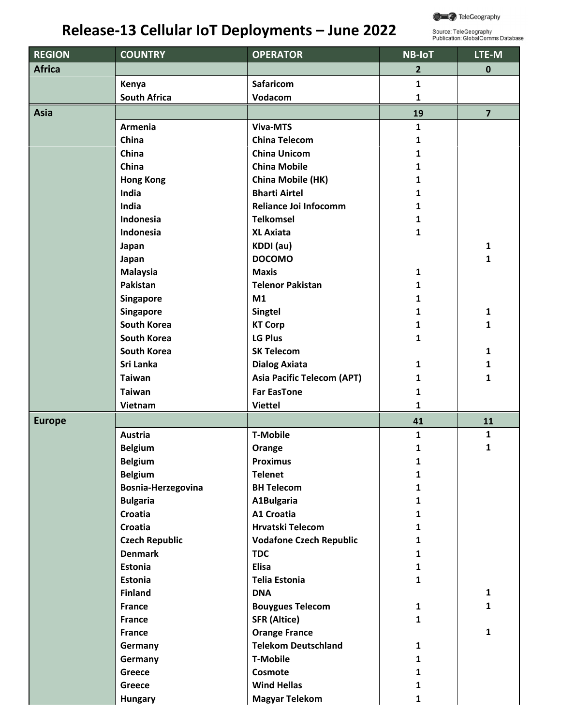

## **Release‐13 Cellular IoT Deployments – June 2022**

Source: TeleGeography<br>Publication: GlobalComms Database

| <b>REGION</b> | <b>COUNTRY</b>        | <b>OPERATOR</b>                   | <b>NB-IoT</b>  | LTE-M                   |
|---------------|-----------------------|-----------------------------------|----------------|-------------------------|
| <b>Africa</b> |                       |                                   | $\overline{2}$ | $\mathbf 0$             |
|               | Kenya                 | <b>Safaricom</b>                  | $\mathbf{1}$   |                         |
|               | <b>South Africa</b>   | Vodacom                           | $\mathbf{1}$   |                         |
| Asia          |                       |                                   | 19             | $\overline{\mathbf{z}}$ |
|               | Armenia               | <b>Viva-MTS</b>                   | $\mathbf{1}$   |                         |
|               | China                 | <b>China Telecom</b>              | 1              |                         |
|               | China                 | <b>China Unicom</b>               | $\mathbf{1}$   |                         |
|               | China                 | <b>China Mobile</b>               | 1              |                         |
|               | <b>Hong Kong</b>      | China Mobile (HK)                 | 1              |                         |
|               | India                 | <b>Bharti Airtel</b>              | 1              |                         |
|               | India                 | Reliance Joi Infocomm             | 1              |                         |
|               | Indonesia             | <b>Telkomsel</b>                  | $\mathbf{1}$   |                         |
|               | Indonesia             | <b>XL Axiata</b>                  | $\mathbf{1}$   |                         |
|               | Japan                 | KDDI (au)                         |                | $\mathbf{1}$            |
|               | Japan                 | <b>DOCOMO</b>                     |                | 1                       |
|               | <b>Malaysia</b>       | <b>Maxis</b>                      | $\mathbf{1}$   |                         |
|               | Pakistan              | <b>Telenor Pakistan</b>           | $\mathbf{1}$   |                         |
|               | <b>Singapore</b>      | M1                                | 1              |                         |
|               | Singapore             | <b>Singtel</b>                    | 1              | $\mathbf{1}$            |
|               | <b>South Korea</b>    | <b>KT Corp</b>                    | 1              | 1                       |
|               | <b>South Korea</b>    | LG Plus                           | 1              |                         |
|               | <b>South Korea</b>    | <b>SK Telecom</b>                 |                | 1                       |
|               | Sri Lanka             | <b>Dialog Axiata</b>              | $\mathbf{1}$   | 1                       |
|               | <b>Taiwan</b>         | <b>Asia Pacific Telecom (APT)</b> | $\mathbf{1}$   | 1                       |
|               | <b>Taiwan</b>         | <b>Far EasTone</b>                | $\mathbf{1}$   |                         |
|               | Vietnam               | <b>Viettel</b>                    | $\mathbf{1}$   |                         |
| <b>Europe</b> |                       |                                   | 41             | 11                      |
|               | Austria               | <b>T-Mobile</b>                   | 1              | $\mathbf{1}$            |
|               | <b>Belgium</b>        | Orange                            | 1              | 1                       |
|               | <b>Belgium</b>        | <b>Proximus</b>                   | 1              |                         |
|               | <b>Belgium</b>        | <b>Telenet</b>                    | 1              |                         |
|               | Bosnia-Herzegovina    | <b>BH Telecom</b>                 | $\mathbf{1}$   |                         |
|               | <b>Bulgaria</b>       | A1Bulgaria                        | $\mathbf{1}$   |                         |
|               | Croatia               | <b>A1 Croatia</b>                 | $\mathbf{1}$   |                         |
|               | <b>Croatia</b>        | <b>Hrvatski Telecom</b>           | $\mathbf{1}$   |                         |
|               | <b>Czech Republic</b> | <b>Vodafone Czech Republic</b>    | 1              |                         |
|               | <b>Denmark</b>        | <b>TDC</b>                        | $\mathbf{1}$   |                         |
|               | Estonia               | <b>Elisa</b>                      | $\mathbf{1}$   |                         |
|               | <b>Estonia</b>        | <b>Telia Estonia</b>              | $\mathbf{1}$   |                         |
|               | <b>Finland</b>        | <b>DNA</b>                        |                | $\mathbf{1}$            |
|               | <b>France</b>         | <b>Bouygues Telecom</b>           | $\mathbf{1}$   | 1                       |
|               | <b>France</b>         | <b>SFR (Altice)</b>               | $\mathbf{1}$   |                         |
|               | <b>France</b>         | <b>Orange France</b>              |                | $\mathbf{1}$            |
|               | Germany               | <b>Telekom Deutschland</b>        | $\mathbf{1}$   |                         |
|               | Germany               | <b>T-Mobile</b>                   | $\mathbf{1}$   |                         |
|               | Greece                | Cosmote                           | 1              |                         |
|               | Greece                | <b>Wind Hellas</b>                | 1              |                         |
|               | <b>Hungary</b>        | <b>Magyar Telekom</b>             | $\mathbf{1}$   |                         |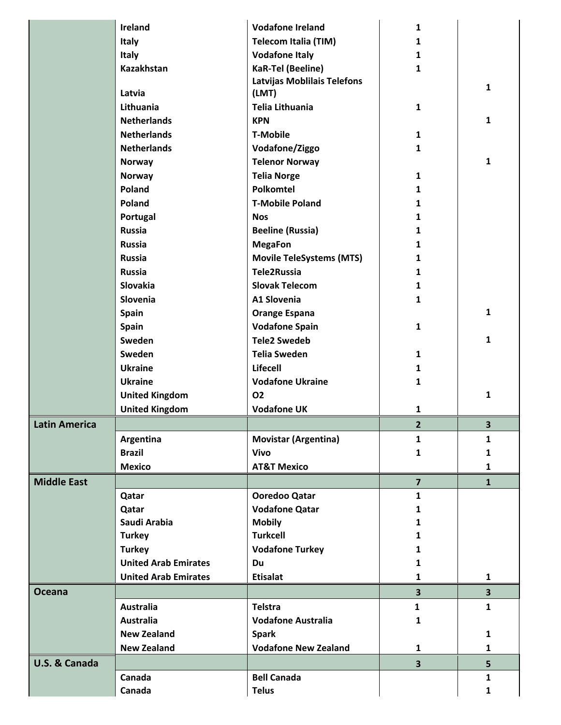|                      | <b>Ireland</b>              | <b>Vodafone Ireland</b>            | 1                       |                         |
|----------------------|-----------------------------|------------------------------------|-------------------------|-------------------------|
|                      | Italy                       | <b>Telecom Italia (TIM)</b>        | 1                       |                         |
|                      | Italy                       | <b>Vodafone Italy</b>              | $\mathbf{1}$            |                         |
|                      | <b>Kazakhstan</b>           | <b>KaR-Tel (Beeline)</b>           | $\mathbf{1}$            |                         |
|                      |                             | <b>Latvijas Moblilais Telefons</b> |                         |                         |
|                      | Latvia                      | (LMT)                              |                         | 1                       |
|                      | Lithuania                   | Telia Lithuania                    | $\mathbf{1}$            |                         |
|                      | <b>Netherlands</b>          | <b>KPN</b>                         |                         | 1                       |
|                      | <b>Netherlands</b>          | <b>T-Mobile</b>                    | $\mathbf{1}$            |                         |
|                      | <b>Netherlands</b>          | Vodafone/Ziggo                     | $\mathbf{1}$            |                         |
|                      | <b>Norway</b>               | <b>Telenor Norway</b>              |                         | $\mathbf{1}$            |
|                      | <b>Norway</b>               | <b>Telia Norge</b>                 | $\mathbf{1}$            |                         |
|                      | Poland                      | Polkomtel                          | 1                       |                         |
|                      | Poland                      | <b>T-Mobile Poland</b>             | 1                       |                         |
|                      | Portugal                    | <b>Nos</b>                         | 1                       |                         |
|                      | <b>Russia</b>               | <b>Beeline (Russia)</b>            | 1                       |                         |
|                      | <b>Russia</b>               | <b>MegaFon</b>                     | 1                       |                         |
|                      | <b>Russia</b>               | <b>Movile TeleSystems (MTS)</b>    | 1                       |                         |
|                      | <b>Russia</b>               | Tele2Russia                        | 1                       |                         |
|                      | Slovakia                    | <b>Slovak Telecom</b>              | 1                       |                         |
|                      | Slovenia                    | A1 Slovenia                        | 1                       |                         |
|                      | <b>Spain</b>                | <b>Orange Espana</b>               |                         | 1                       |
|                      | Spain                       | <b>Vodafone Spain</b>              | $\mathbf{1}$            |                         |
|                      | Sweden                      | <b>Tele2 Swedeb</b>                |                         | 1                       |
|                      | Sweden                      | <b>Telia Sweden</b>                | 1                       |                         |
|                      | <b>Ukraine</b>              | <b>Lifecell</b>                    | $\mathbf{1}$            |                         |
|                      | <b>Ukraine</b>              | <b>Vodafone Ukraine</b>            | 1                       |                         |
|                      | <b>United Kingdom</b>       | 02                                 |                         | $\mathbf{1}$            |
|                      | <b>United Kingdom</b>       | <b>Vodafone UK</b>                 | 1                       |                         |
| <b>Latin America</b> |                             |                                    | $\overline{2}$          | 3                       |
|                      | Argentina                   | <b>Movistar (Argentina)</b>        | $\mathbf{1}$            | $\mathbf{1}$            |
|                      | <b>Brazil</b>               | <b>Vivo</b>                        | 1                       | 1                       |
|                      | <b>Mexico</b>               | <b>AT&amp;T Mexico</b>             |                         | $\mathbf{1}$            |
| <b>Middle East</b>   |                             |                                    | $\overline{7}$          | $\mathbf{1}$            |
|                      | Qatar                       | Ooredoo Qatar                      | $\mathbf{1}$            |                         |
|                      | Qatar                       | <b>Vodafone Qatar</b>              | 1                       |                         |
|                      | Saudi Arabia                | <b>Mobily</b>                      | 1                       |                         |
|                      | <b>Turkey</b>               | <b>Turkcell</b>                    | 1                       |                         |
|                      | <b>Turkey</b>               | <b>Vodafone Turkey</b>             | 1                       |                         |
|                      | <b>United Arab Emirates</b> | Du                                 | 1                       |                         |
|                      | <b>United Arab Emirates</b> | <b>Etisalat</b>                    | $\mathbf{1}$            | $\mathbf{1}$            |
| <b>Oceana</b>        |                             |                                    | $\overline{\mathbf{3}}$ | $\overline{\mathbf{3}}$ |
|                      | <b>Australia</b>            | <b>Telstra</b>                     | $\mathbf{1}$            | $\mathbf{1}$            |
|                      | <b>Australia</b>            | <b>Vodafone Australia</b>          | 1                       |                         |
|                      | <b>New Zealand</b>          | <b>Spark</b>                       |                         | $\mathbf{1}$            |
|                      | <b>New Zealand</b>          | <b>Vodafone New Zealand</b>        | 1                       | $\mathbf{1}$            |
| U.S. & Canada        |                             |                                    | $\overline{\mathbf{3}}$ | 5                       |
|                      | Canada                      | <b>Bell Canada</b>                 |                         | $\mathbf{1}$            |
|                      | Canada                      | <b>Telus</b>                       |                         | $\mathbf{1}$            |